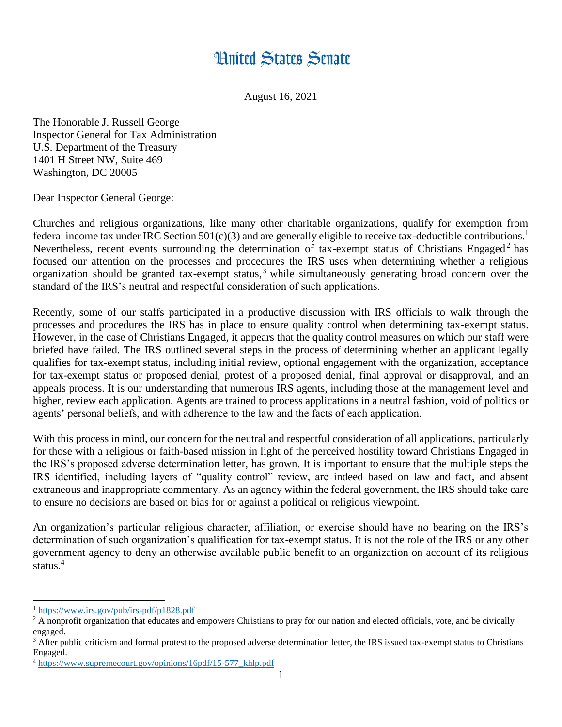## **Hnited States Senate**

August 16, 2021

The Honorable J. Russell George Inspector General for Tax Administration U.S. Department of the Treasury 1401 H Street NW, Suite 469 Washington, DC 20005

Dear Inspector General George:

Churches and religious organizations, like many other charitable organizations, qualify for exemption from federal income tax under IRC Section 501(c)(3) and are generally eligible to receive tax-deductible contributions.<sup>1</sup> Nevertheless, recent events surrounding the determination of tax-exempt status of Christians Engaged<sup>2</sup> has focused our attention on the processes and procedures the IRS uses when determining whether a religious organization should be granted tax-exempt status,  $3$  while simultaneously generating broad concern over the standard of the IRS's neutral and respectful consideration of such applications.

Recently, some of our staffs participated in a productive discussion with IRS officials to walk through the processes and procedures the IRS has in place to ensure quality control when determining tax-exempt status. However, in the case of Christians Engaged, it appears that the quality control measures on which our staff were briefed have failed. The IRS outlined several steps in the process of determining whether an applicant legally qualifies for tax-exempt status, including initial review, optional engagement with the organization, acceptance for tax-exempt status or proposed denial, protest of a proposed denial, final approval or disapproval, and an appeals process. It is our understanding that numerous IRS agents, including those at the management level and higher, review each application. Agents are trained to process applications in a neutral fashion, void of politics or agents' personal beliefs, and with adherence to the law and the facts of each application.

With this process in mind, our concern for the neutral and respectful consideration of all applications, particularly for those with a religious or faith-based mission in light of the perceived hostility toward Christians Engaged in the IRS's proposed adverse determination letter, has grown. It is important to ensure that the multiple steps the IRS identified, including layers of "quality control" review, are indeed based on law and fact, and absent extraneous and inappropriate commentary. As an agency within the federal government, the IRS should take care to ensure no decisions are based on bias for or against a political or religious viewpoint.

An organization's particular religious character, affiliation, or exercise should have no bearing on the IRS's determination of such organization's qualification for tax-exempt status. It is not the role of the IRS or any other government agency to deny an otherwise available public benefit to an organization on account of its religious status.<sup>4</sup>

 $\overline{a}$ 

<sup>1</sup> <https://www.irs.gov/pub/irs-pdf/p1828.pdf>

<sup>&</sup>lt;sup>2</sup> A nonprofit organization that educates and empowers Christians to pray for our nation and elected officials, vote, and be civically engaged.

<sup>&</sup>lt;sup>3</sup> After public criticism and formal protest to the proposed adverse determination letter, the IRS issued tax-exempt status to Christians Engaged.

<sup>&</sup>lt;sup>4</sup> [https://www.supremecourt.gov/opinions/16pdf/15-577\\_khlp.pdf](https://www.supremecourt.gov/opinions/16pdf/15-577_khlp.pdf)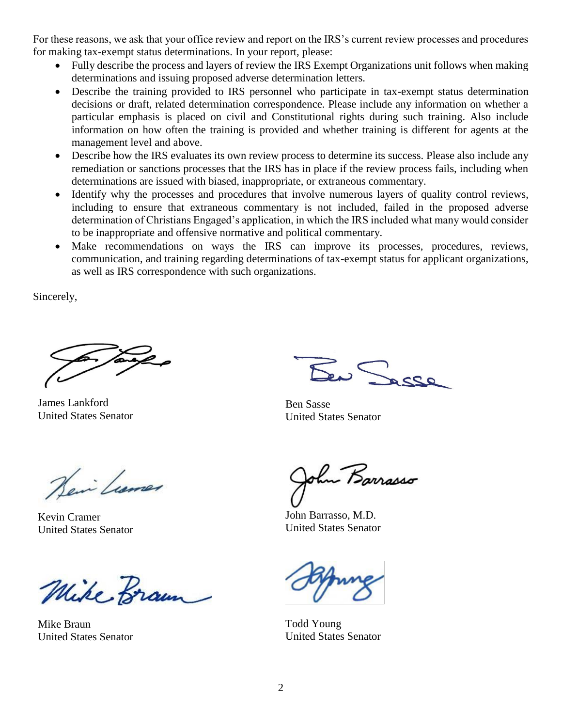For these reasons, we ask that your office review and report on the IRS's current review processes and procedures for making tax-exempt status determinations. In your report, please:

- Fully describe the process and layers of review the IRS Exempt Organizations unit follows when making determinations and issuing proposed adverse determination letters.
- Describe the training provided to IRS personnel who participate in tax-exempt status determination decisions or draft, related determination correspondence. Please include any information on whether a particular emphasis is placed on civil and Constitutional rights during such training. Also include information on how often the training is provided and whether training is different for agents at the management level and above.
- Describe how the IRS evaluates its own review process to determine its success. Please also include any remediation or sanctions processes that the IRS has in place if the review process fails, including when determinations are issued with biased, inappropriate, or extraneous commentary.
- Identify why the processes and procedures that involve numerous layers of quality control reviews, including to ensure that extraneous commentary is not included, failed in the proposed adverse determination of Christians Engaged's application, in which the IRS included what many would consider to be inappropriate and offensive normative and political commentary.
- Make recommendations on ways the IRS can improve its processes, procedures, reviews, communication, and training regarding determinations of tax-exempt status for applicant organizations, as well as IRS correspondence with such organizations.

Sincerely,

James Lankford United States Senator

Ser Sasse

Ben Sasse United States Senator

Heir Lumer

Kevin Cramer United States Senator

Mike Braun

Mike Braun United States Senator

hu Barrasso

John Barrasso, M.D. United States Senator

Todd Young United States Senator